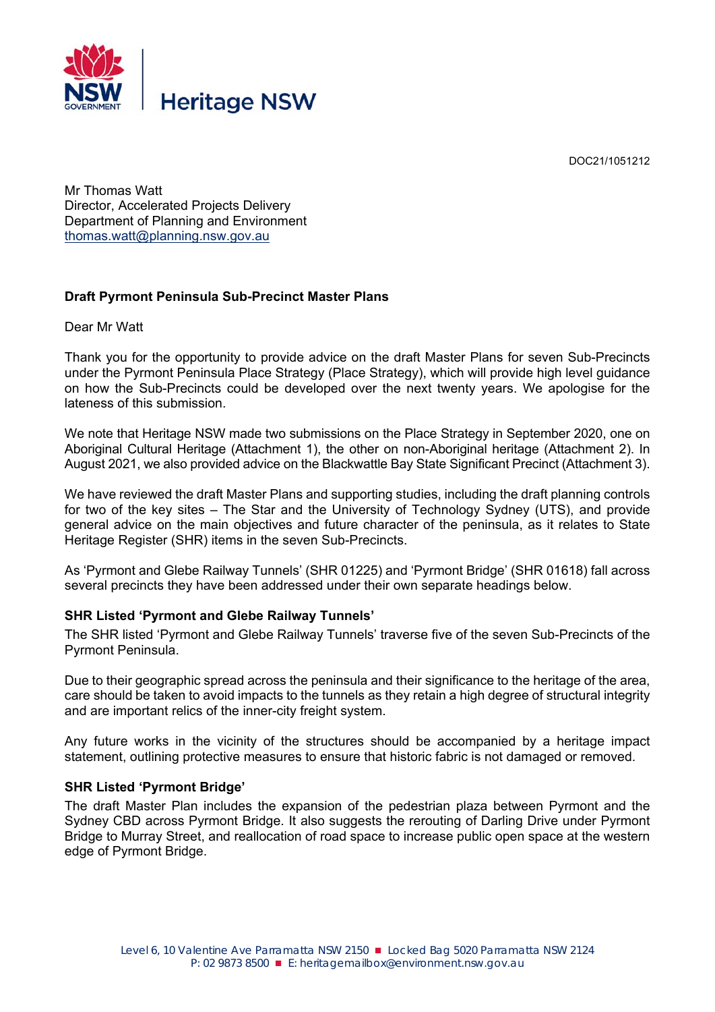



Mr Thomas Watt Director, Accelerated Projects Delivery Department of Planning and Environment thomas.watt@planning.nsw.gov.au

# **Draft Pyrmont Peninsula Sub-Precinct Master Plans**

Dear Mr Watt

Thank you for the opportunity to provide advice on the draft Master Plans for seven Sub-Precincts under the Pyrmont Peninsula Place Strategy (Place Strategy), which will provide high level guidance on how the Sub-Precincts could be developed over the next twenty years. We apologise for the lateness of this submission.

We note that Heritage NSW made two submissions on the Place Strategy in September 2020, one on Aboriginal Cultural Heritage (Attachment 1), the other on non-Aboriginal heritage (Attachment 2). In August 2021, we also provided advice on the Blackwattle Bay State Significant Precinct (Attachment 3).

We have reviewed the draft Master Plans and supporting studies, including the draft planning controls for two of the key sites – The Star and the University of Technology Sydney (UTS), and provide general advice on the main objectives and future character of the peninsula, as it relates to State Heritage Register (SHR) items in the seven Sub-Precincts.

As 'Pyrmont and Glebe Railway Tunnels' (SHR 01225) and 'Pyrmont Bridge' (SHR 01618) fall across several precincts they have been addressed under their own separate headings below.

## **SHR Listed 'Pyrmont and Glebe Railway Tunnels'**

The SHR listed 'Pyrmont and Glebe Railway Tunnels' traverse five of the seven Sub-Precincts of the Pyrmont Peninsula.

Due to their geographic spread across the peninsula and their significance to the heritage of the area, care should be taken to avoid impacts to the tunnels as they retain a high degree of structural integrity and are important relics of the inner-city freight system.

Any future works in the vicinity of the structures should be accompanied by a heritage impact statement, outlining protective measures to ensure that historic fabric is not damaged or removed.

## **SHR Listed 'Pyrmont Bridge'**

The draft Master Plan includes the expansion of the pedestrian plaza between Pyrmont and the Sydney CBD across Pyrmont Bridge. It also suggests the rerouting of Darling Drive under Pyrmont Bridge to Murray Street, and reallocation of road space to increase public open space at the western edge of Pyrmont Bridge.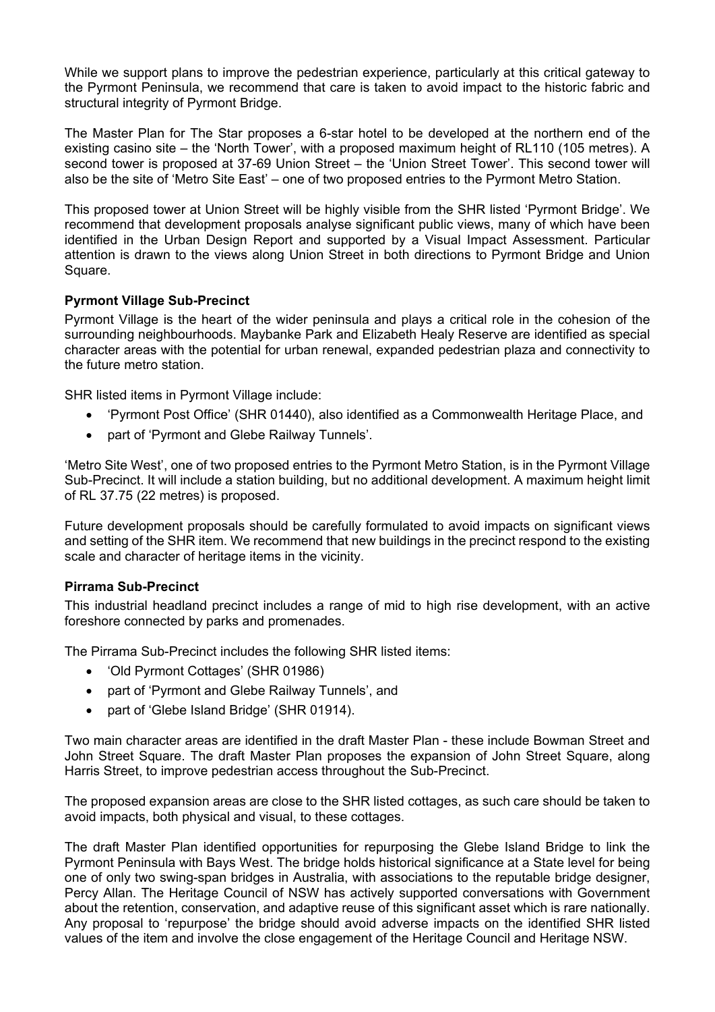While we support plans to improve the pedestrian experience, particularly at this critical gateway to the Pyrmont Peninsula, we recommend that care is taken to avoid impact to the historic fabric and structural integrity of Pyrmont Bridge.

The Master Plan for The Star proposes a 6-star hotel to be developed at the northern end of the existing casino site – the 'North Tower', with a proposed maximum height of RL110 (105 metres). A second tower is proposed at 37-69 Union Street – the 'Union Street Tower'. This second tower will also be the site of 'Metro Site East' – one of two proposed entries to the Pyrmont Metro Station.

This proposed tower at Union Street will be highly visible from the SHR listed 'Pyrmont Bridge'. We recommend that development proposals analyse significant public views, many of which have been identified in the Urban Design Report and supported by a Visual Impact Assessment. Particular attention is drawn to the views along Union Street in both directions to Pyrmont Bridge and Union Square.

# **Pyrmont Village Sub-Precinct**

Pyrmont Village is the heart of the wider peninsula and plays a critical role in the cohesion of the surrounding neighbourhoods. Maybanke Park and Elizabeth Healy Reserve are identified as special character areas with the potential for urban renewal, expanded pedestrian plaza and connectivity to the future metro station.

SHR listed items in Pyrmont Village include:

- 'Pyrmont Post Office' (SHR 01440), also identified as a Commonwealth Heritage Place, and
- part of 'Pyrmont and Glebe Railway Tunnels'.

'Metro Site West', one of two proposed entries to the Pyrmont Metro Station, is in the Pyrmont Village Sub-Precinct. It will include a station building, but no additional development. A maximum height limit of RL 37.75 (22 metres) is proposed.

Future development proposals should be carefully formulated to avoid impacts on significant views and setting of the SHR item. We recommend that new buildings in the precinct respond to the existing scale and character of heritage items in the vicinity.

## **Pirrama Sub-Precinct**

This industrial headland precinct includes a range of mid to high rise development, with an active foreshore connected by parks and promenades.

The Pirrama Sub-Precinct includes the following SHR listed items:

- 'Old Pyrmont Cottages' (SHR 01986)
- part of 'Pyrmont and Glebe Railway Tunnels', and
- part of 'Glebe Island Bridge' (SHR 01914).

Two main character areas are identified in the draft Master Plan - these include Bowman Street and John Street Square. The draft Master Plan proposes the expansion of John Street Square, along Harris Street, to improve pedestrian access throughout the Sub-Precinct.

The proposed expansion areas are close to the SHR listed cottages, as such care should be taken to avoid impacts, both physical and visual, to these cottages.

The draft Master Plan identified opportunities for repurposing the Glebe Island Bridge to link the Pyrmont Peninsula with Bays West. The bridge holds historical significance at a State level for being one of only two swing-span bridges in Australia, with associations to the reputable bridge designer, Percy Allan. The Heritage Council of NSW has actively supported conversations with Government about the retention, conservation, and adaptive reuse of this significant asset which is rare nationally. Any proposal to 'repurpose' the bridge should avoid adverse impacts on the identified SHR listed values of the item and involve the close engagement of the Heritage Council and Heritage NSW.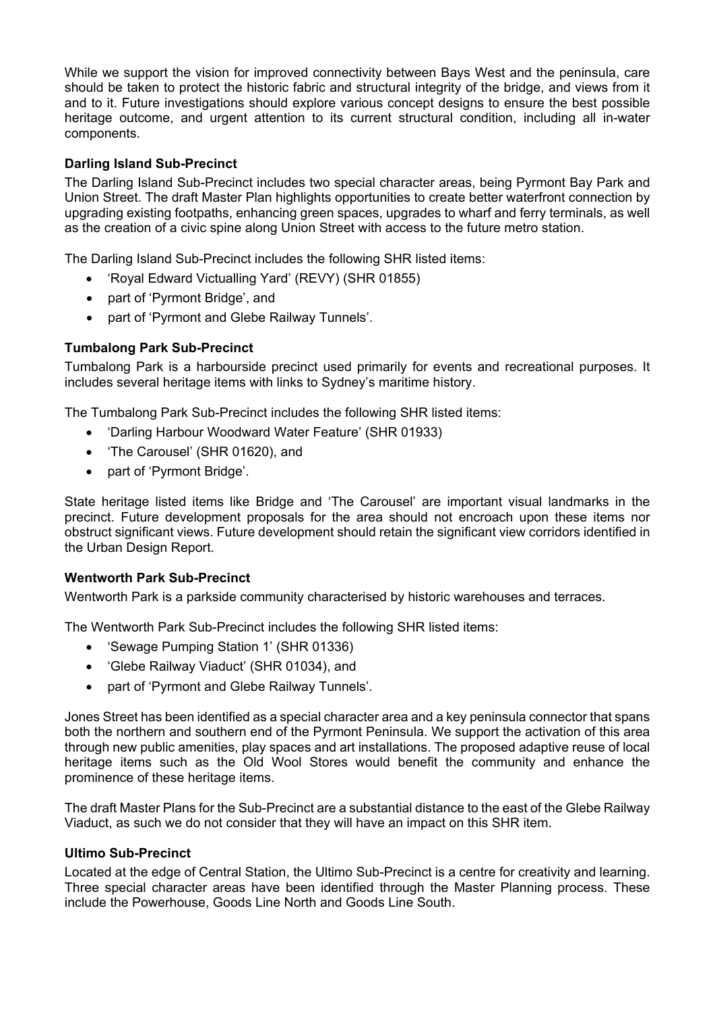While we support the vision for improved connectivity between Bays West and the peninsula, care should be taken to protect the historic fabric and structural integrity of the bridge, and views from it and to it. Future investigations should explore various concept designs to ensure the best possible heritage outcome, and urgent attention to its current structural condition, including all in-water components.

# **Darling Island Sub-Precinct**

The Darling Island Sub-Precinct includes two special character areas, being Pyrmont Bay Park and Union Street. The draft Master Plan highlights opportunities to create better waterfront connection by upgrading existing footpaths, enhancing green spaces, upgrades to wharf and ferry terminals, as well as the creation of a civic spine along Union Street with access to the future metro station.

The Darling Island Sub-Precinct includes the following SHR listed items:

- 'Royal Edward Victualling Yard' (REVY) (SHR 01855)
- part of 'Pyrmont Bridge', and
- part of 'Pyrmont and Glebe Railway Tunnels'.

## **Tumbalong Park Sub-Precinct**

Tumbalong Park is a harbourside precinct used primarily for events and recreational purposes. It includes several heritage items with links to Sydney's maritime history.

The Tumbalong Park Sub-Precinct includes the following SHR listed items:

- 'Darling Harbour Woodward Water Feature' (SHR 01933)
- 'The Carousel' (SHR 01620), and
- part of 'Pyrmont Bridge'.

State heritage listed items like Bridge and 'The Carousel' are important visual landmarks in the precinct. Future development proposals for the area should not encroach upon these items nor obstruct significant views. Future development should retain the significant view corridors identified in the Urban Design Report.

## **Wentworth Park Sub-Precinct**

Wentworth Park is a parkside community characterised by historic warehouses and terraces.

The Wentworth Park Sub-Precinct includes the following SHR listed items:

- 'Sewage Pumping Station 1' (SHR 01336)
- 'Glebe Railway Viaduct' (SHR 01034), and
- part of 'Pyrmont and Glebe Railway Tunnels'.

Jones Street has been identified as a special character area and a key peninsula connector that spans both the northern and southern end of the Pyrmont Peninsula. We support the activation of this area through new public amenities, play spaces and art installations. The proposed adaptive reuse of local heritage items such as the Old Wool Stores would benefit the community and enhance the prominence of these heritage items.

The draft Master Plans for the Sub-Precinct are a substantial distance to the east of the Glebe Railway Viaduct, as such we do not consider that they will have an impact on this SHR item.

## **Ultimo Sub-Precinct**

Located at the edge of Central Station, the Ultimo Sub-Precinct is a centre for creativity and learning. Three special character areas have been identified through the Master Planning process. These include the Powerhouse, Goods Line North and Goods Line South.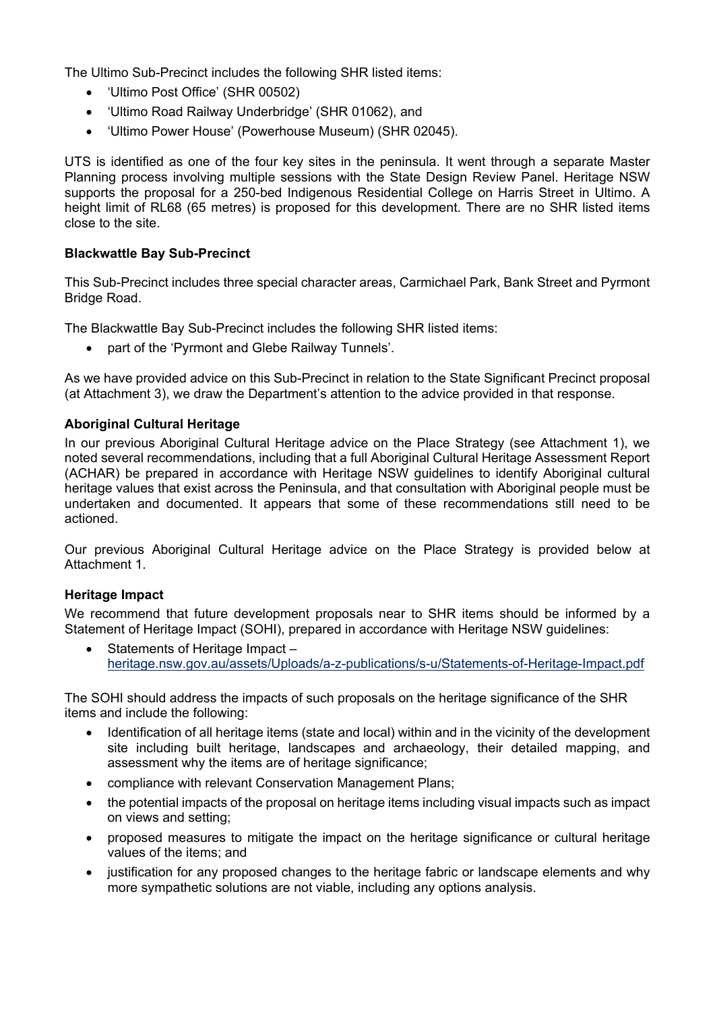The Ultimo Sub-Precinct includes the following SHR listed items:

- 'Ultimo Post Office' (SHR 00502)
- 'Ultimo Road Railway Underbridge' (SHR 01062), and
- 'Ultimo Power House' (Powerhouse Museum) (SHR 02045).

UTS is identified as one of the four key sites in the peninsula. It went through a separate Master Planning process involving multiple sessions with the State Design Review Panel. Heritage NSW supports the proposal for a 250-bed Indigenous Residential College on Harris Street in Ultimo. A height limit of RL68 (65 metres) is proposed for this development. There are no SHR listed items close to the site.

## **Blackwattle Bay Sub-Precinct**

This Sub-Precinct includes three special character areas, Carmichael Park, Bank Street and Pyrmont Bridge Road.

The Blackwattle Bay Sub-Precinct includes the following SHR listed items:

part of the 'Pyrmont and Glebe Railway Tunnels'.

As we have provided advice on this Sub-Precinct in relation to the State Significant Precinct proposal (at Attachment 3), we draw the Department's attention to the advice provided in that response.

### **Aboriginal Cultural Heritage**

In our previous Aboriginal Cultural Heritage advice on the Place Strategy (see Attachment 1), we noted several recommendations, including that a full Aboriginal Cultural Heritage Assessment Report (ACHAR) be prepared in accordance with Heritage NSW guidelines to identify Aboriginal cultural heritage values that exist across the Peninsula, and that consultation with Aboriginal people must be undertaken and documented. It appears that some of these recommendations still need to be actioned.

Our previous Aboriginal Cultural Heritage advice on the Place Strategy is provided below at Attachment 1.

## **Heritage Impact**

We recommend that future development proposals near to SHR items should be informed by a Statement of Heritage Impact (SOHI), prepared in accordance with Heritage NSW guidelines:

 Statements of Heritage Impact – heritage.nsw.gov.au/assets/Uploads/a-z-publications/s-u/Statements-of-Heritage-Impact.pdf

The SOHI should address the impacts of such proposals on the heritage significance of the SHR items and include the following:

- Identification of all heritage items (state and local) within and in the vicinity of the development site including built heritage, landscapes and archaeology, their detailed mapping, and assessment why the items are of heritage significance;
- compliance with relevant Conservation Management Plans;
- the potential impacts of the proposal on heritage items including visual impacts such as impact on views and setting;
- proposed measures to mitigate the impact on the heritage significance or cultural heritage values of the items; and
- justification for any proposed changes to the heritage fabric or landscape elements and why more sympathetic solutions are not viable, including any options analysis.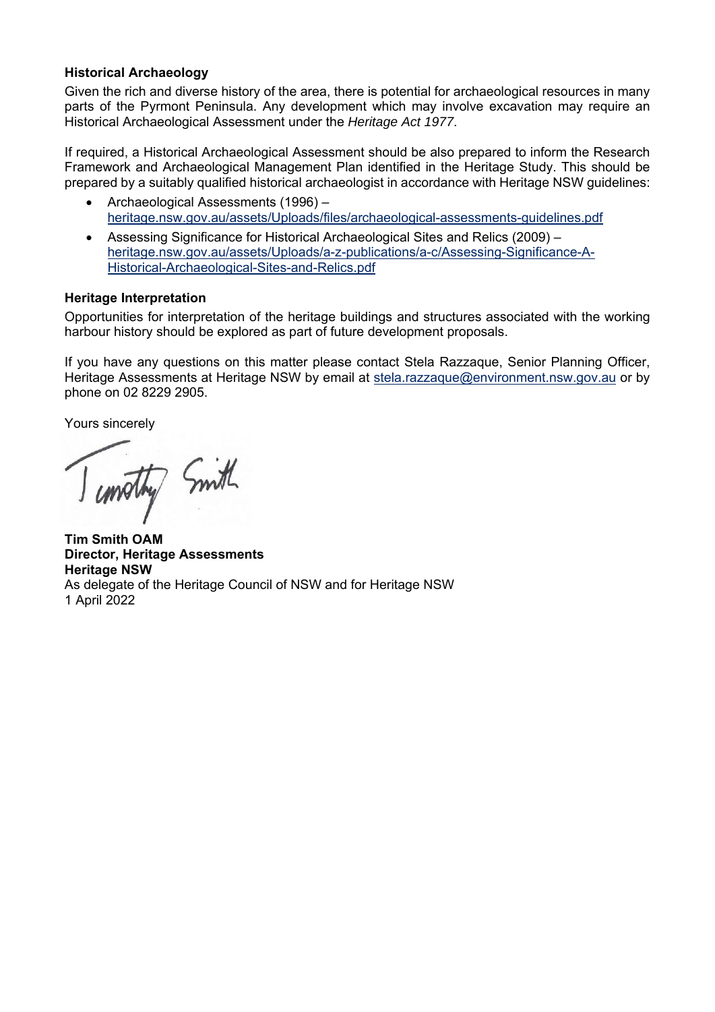## **Historical Archaeology**

Given the rich and diverse history of the area, there is potential for archaeological resources in many parts of the Pyrmont Peninsula. Any development which may involve excavation may require an Historical Archaeological Assessment under the *Heritage Act 1977*.

If required, a Historical Archaeological Assessment should be also prepared to inform the Research Framework and Archaeological Management Plan identified in the Heritage Study. This should be prepared by a suitably qualified historical archaeologist in accordance with Heritage NSW guidelines:

- Archaeological Assessments (1996) heritage.nsw.gov.au/assets/Uploads/files/archaeological-assessments-guidelines.pdf
- Assessing Significance for Historical Archaeological Sites and Relics (2009) heritage.nsw.gov.au/assets/Uploads/a-z-publications/a-c/Assessing-Significance-A-Historical-Archaeological-Sites-and-Relics.pdf

### **Heritage Interpretation**

Opportunities for interpretation of the heritage buildings and structures associated with the working harbour history should be explored as part of future development proposals.

If you have any questions on this matter please contact Stela Razzaque, Senior Planning Officer, Heritage Assessments at Heritage NSW by email at stela.razzaque@environment.nsw.gov.au or by phone on 02 8229 2905.

Yours sincerely

I unsthy Smith

**Tim Smith OAM Director, Heritage Assessments Heritage NSW**  As delegate of the Heritage Council of NSW and for Heritage NSW 1 April 2022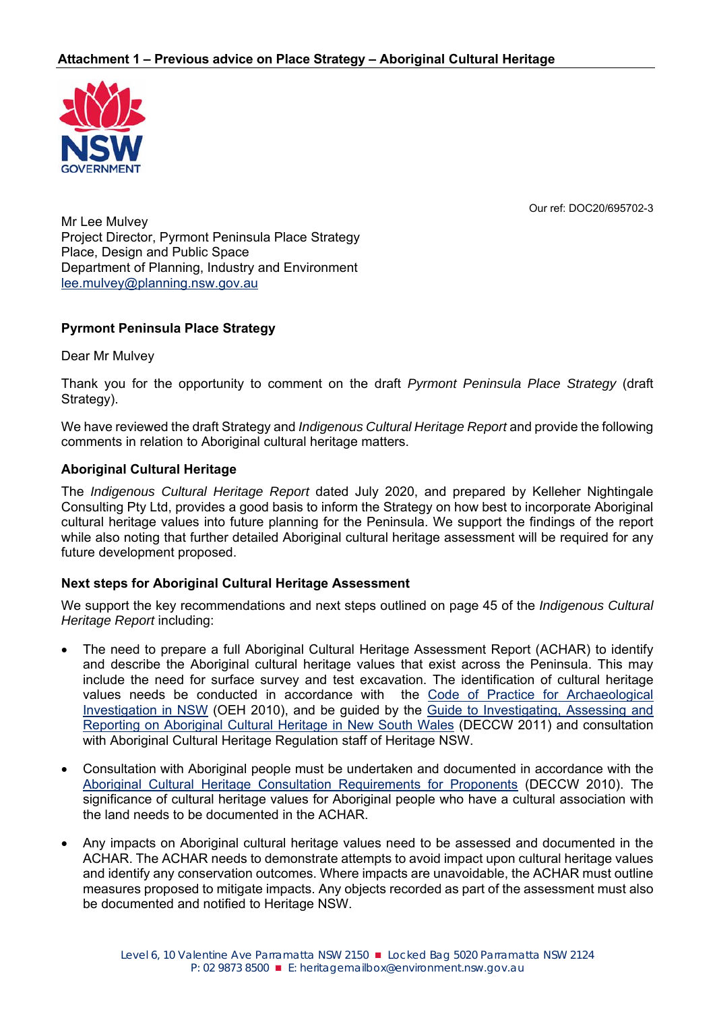# **Attachment 1 – Previous advice on Place Strategy – Aboriginal Cultural Heritage**



Our ref: DOC20/695702-3

Mr Lee Mulvey Project Director, Pyrmont Peninsula Place Strategy Place, Design and Public Space Department of Planning, Industry and Environment lee.mulvey@planning.nsw.gov.au

#### **Pyrmont Peninsula Place Strategy**

Dear Mr Mulvey

Thank you for the opportunity to comment on the draft *Pyrmont Peninsula Place Strategy* (draft Strategy).

We have reviewed the draft Strategy and *Indigenous Cultural Heritage Report* and provide the following comments in relation to Aboriginal cultural heritage matters.

### **Aboriginal Cultural Heritage**

The *Indigenous Cultural Heritage Report* dated July 2020, and prepared by Kelleher Nightingale Consulting Pty Ltd, provides a good basis to inform the Strategy on how best to incorporate Aboriginal cultural heritage values into future planning for the Peninsula. We support the findings of the report while also noting that further detailed Aboriginal cultural heritage assessment will be required for any future development proposed.

#### **Next steps for Aboriginal Cultural Heritage Assessment**

We support the key recommendations and next steps outlined on page 45 of the *Indigenous Cultural Heritage Report* including:

- The need to prepare a full Aboriginal Cultural Heritage Assessment Report (ACHAR) to identify and describe the Aboriginal cultural heritage values that exist across the Peninsula. This may include the need for surface survey and test excavation. The identification of cultural heritage values needs be conducted in accordance with the Code of Practice for Archaeological Investigation in NSW (OEH 2010), and be guided by the Guide to Investigating, Assessing and Reporting on Aboriginal Cultural Heritage in New South Wales (DECCW 2011) and consultation with Aboriginal Cultural Heritage Regulation staff of Heritage NSW.
- Consultation with Aboriginal people must be undertaken and documented in accordance with the Aboriginal Cultural Heritage Consultation Requirements for Proponents (DECCW 2010). The significance of cultural heritage values for Aboriginal people who have a cultural association with the land needs to be documented in the ACHAR.
- Any impacts on Aboriginal cultural heritage values need to be assessed and documented in the ACHAR. The ACHAR needs to demonstrate attempts to avoid impact upon cultural heritage values and identify any conservation outcomes. Where impacts are unavoidable, the ACHAR must outline measures proposed to mitigate impacts. Any objects recorded as part of the assessment must also be documented and notified to Heritage NSW.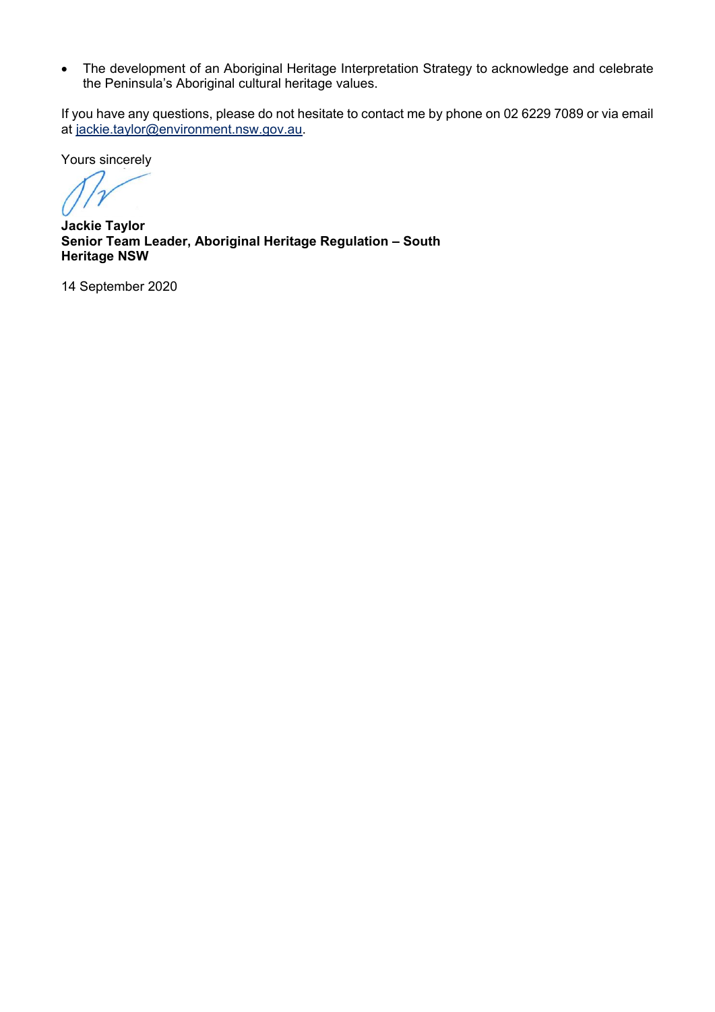The development of an Aboriginal Heritage Interpretation Strategy to acknowledge and celebrate the Peninsula's Aboriginal cultural heritage values.

If you have any questions, please do not hesitate to contact me by phone on 02 6229 7089 or via email at jackie.taylor@environment.nsw.gov.au.

Yours sincerely

**Jackie Taylor Senior Team Leader, Aboriginal Heritage Regulation – South Heritage NSW** 

14 September 2020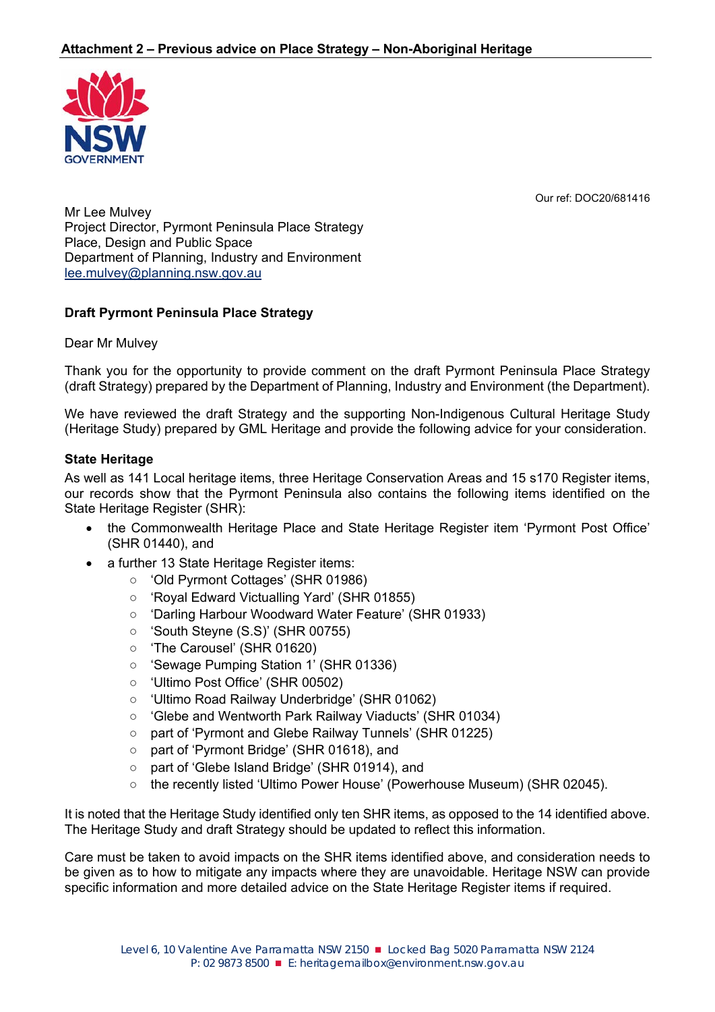

Our ref: DOC20/681416

Mr Lee Mulvey Project Director, Pyrmont Peninsula Place Strategy Place, Design and Public Space Department of Planning, Industry and Environment lee.mulvey@planning.nsw.gov.au

## **Draft Pyrmont Peninsula Place Strategy**

Dear Mr Mulvey

Thank you for the opportunity to provide comment on the draft Pyrmont Peninsula Place Strategy (draft Strategy) prepared by the Department of Planning, Industry and Environment (the Department).

We have reviewed the draft Strategy and the supporting Non-Indigenous Cultural Heritage Study (Heritage Study) prepared by GML Heritage and provide the following advice for your consideration.

### **State Heritage**

As well as 141 Local heritage items, three Heritage Conservation Areas and 15 s170 Register items, our records show that the Pyrmont Peninsula also contains the following items identified on the State Heritage Register (SHR):

- the Commonwealth Heritage Place and State Heritage Register item 'Pyrmont Post Office' (SHR 01440), and
- a further 13 State Heritage Register items:
	- 'Old Pyrmont Cottages' (SHR 01986)
	- 'Royal Edward Victualling Yard' (SHR 01855)
	- 'Darling Harbour Woodward Water Feature' (SHR 01933)
	- 'South Steyne (S.S)' (SHR 00755)
	- 'The Carousel' (SHR 01620)
	- 'Sewage Pumping Station 1' (SHR 01336)
	- 'Ultimo Post Office' (SHR 00502)
	- 'Ultimo Road Railway Underbridge' (SHR 01062)
	- 'Glebe and Wentworth Park Railway Viaducts' (SHR 01034)
	- part of 'Pyrmont and Glebe Railway Tunnels' (SHR 01225)
	- part of 'Pyrmont Bridge' (SHR 01618), and
	- part of 'Glebe Island Bridge' (SHR 01914), and
	- the recently listed 'Ultimo Power House' (Powerhouse Museum) (SHR 02045).

It is noted that the Heritage Study identified only ten SHR items, as opposed to the 14 identified above. The Heritage Study and draft Strategy should be updated to reflect this information.

Care must be taken to avoid impacts on the SHR items identified above, and consideration needs to be given as to how to mitigate any impacts where they are unavoidable. Heritage NSW can provide specific information and more detailed advice on the State Heritage Register items if required.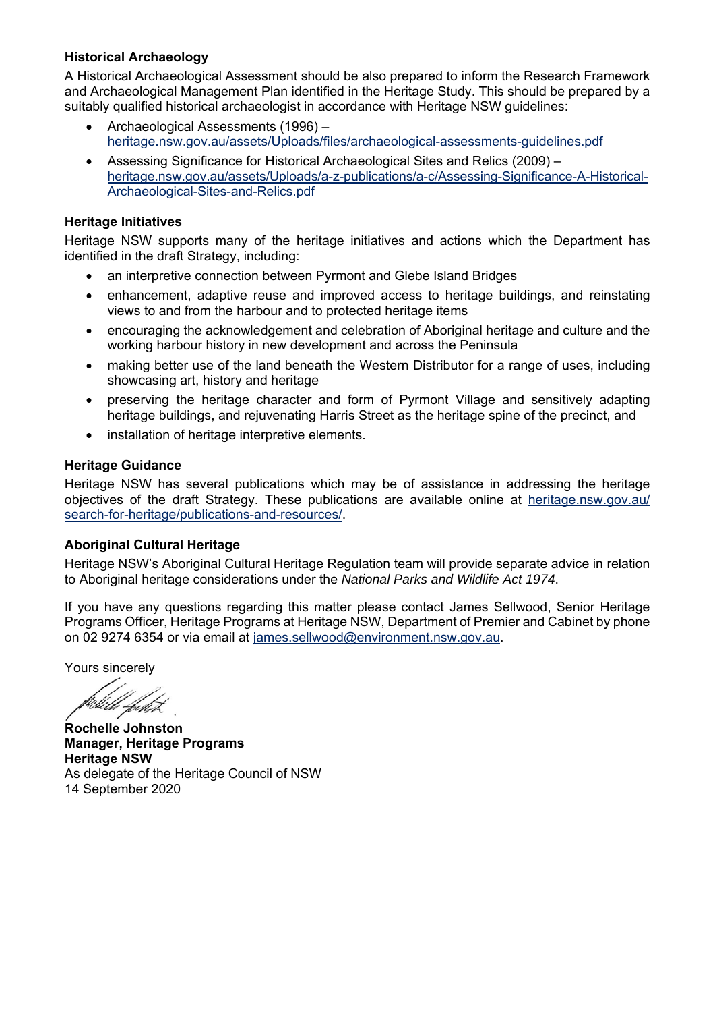# **Historical Archaeology**

A Historical Archaeological Assessment should be also prepared to inform the Research Framework and Archaeological Management Plan identified in the Heritage Study. This should be prepared by a suitably qualified historical archaeologist in accordance with Heritage NSW guidelines:

- Archaeological Assessments (1996) heritage.nsw.gov.au/assets/Uploads/files/archaeological-assessments-guidelines.pdf
- Assessing Significance for Historical Archaeological Sites and Relics (2009) heritage.nsw.gov.au/assets/Uploads/a-z-publications/a-c/Assessing-Significance-A-Historical-Archaeological-Sites-and-Relics.pdf

## **Heritage Initiatives**

Heritage NSW supports many of the heritage initiatives and actions which the Department has identified in the draft Strategy, including:

- an interpretive connection between Pyrmont and Glebe Island Bridges
- enhancement, adaptive reuse and improved access to heritage buildings, and reinstating views to and from the harbour and to protected heritage items
- encouraging the acknowledgement and celebration of Aboriginal heritage and culture and the working harbour history in new development and across the Peninsula
- making better use of the land beneath the Western Distributor for a range of uses, including showcasing art, history and heritage
- preserving the heritage character and form of Pyrmont Village and sensitively adapting heritage buildings, and rejuvenating Harris Street as the heritage spine of the precinct, and
- installation of heritage interpretive elements.

### **Heritage Guidance**

Heritage NSW has several publications which may be of assistance in addressing the heritage objectives of the draft Strategy. These publications are available online at heritage.nsw.gov.au/ search-for-heritage/publications-and-resources/.

## **Aboriginal Cultural Heritage**

Heritage NSW's Aboriginal Cultural Heritage Regulation team will provide separate advice in relation to Aboriginal heritage considerations under the *National Parks and Wildlife Act 1974*.

If you have any questions regarding this matter please contact James Sellwood, Senior Heritage Programs Officer, Heritage Programs at Heritage NSW, Department of Premier and Cabinet by phone on 02 9274 6354 or via email at james.sellwood@environment.nsw.gov.au.

Yours sincerely

**Rochelle Johnston Manager, Heritage Programs Heritage NSW**  As delegate of the Heritage Council of NSW 14 September 2020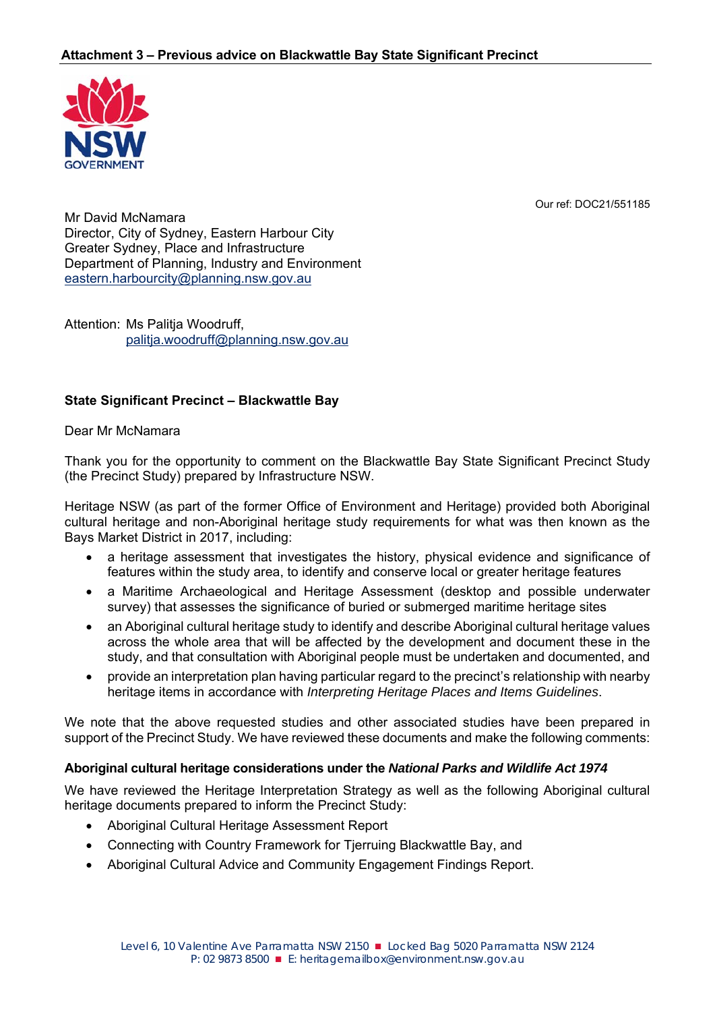

Our ref: DOC21/551185

Mr David McNamara Director, City of Sydney, Eastern Harbour City Greater Sydney, Place and Infrastructure Department of Planning, Industry and Environment eastern.harbourcity@planning.nsw.gov.au

Attention: Ms Palitia Woodruff. palitja.woodruff@planning.nsw.gov.au

## **State Significant Precinct – Blackwattle Bay**

### Dear Mr McNamara

Thank you for the opportunity to comment on the Blackwattle Bay State Significant Precinct Study (the Precinct Study) prepared by Infrastructure NSW.

Heritage NSW (as part of the former Office of Environment and Heritage) provided both Aboriginal cultural heritage and non-Aboriginal heritage study requirements for what was then known as the Bays Market District in 2017, including:

- a heritage assessment that investigates the history, physical evidence and significance of features within the study area, to identify and conserve local or greater heritage features
- a Maritime Archaeological and Heritage Assessment (desktop and possible underwater survey) that assesses the significance of buried or submerged maritime heritage sites
- an Aboriginal cultural heritage study to identify and describe Aboriginal cultural heritage values across the whole area that will be affected by the development and document these in the study, and that consultation with Aboriginal people must be undertaken and documented, and
- provide an interpretation plan having particular regard to the precinct's relationship with nearby heritage items in accordance with *Interpreting Heritage Places and Items Guidelines*.

We note that the above requested studies and other associated studies have been prepared in support of the Precinct Study. We have reviewed these documents and make the following comments:

## **Aboriginal cultural heritage considerations under the** *National Parks and Wildlife Act 1974*

We have reviewed the Heritage Interpretation Strategy as well as the following Aboriginal cultural heritage documents prepared to inform the Precinct Study:

- Aboriginal Cultural Heritage Assessment Report
- Connecting with Country Framework for Tjerruing Blackwattle Bay, and
- Aboriginal Cultural Advice and Community Engagement Findings Report.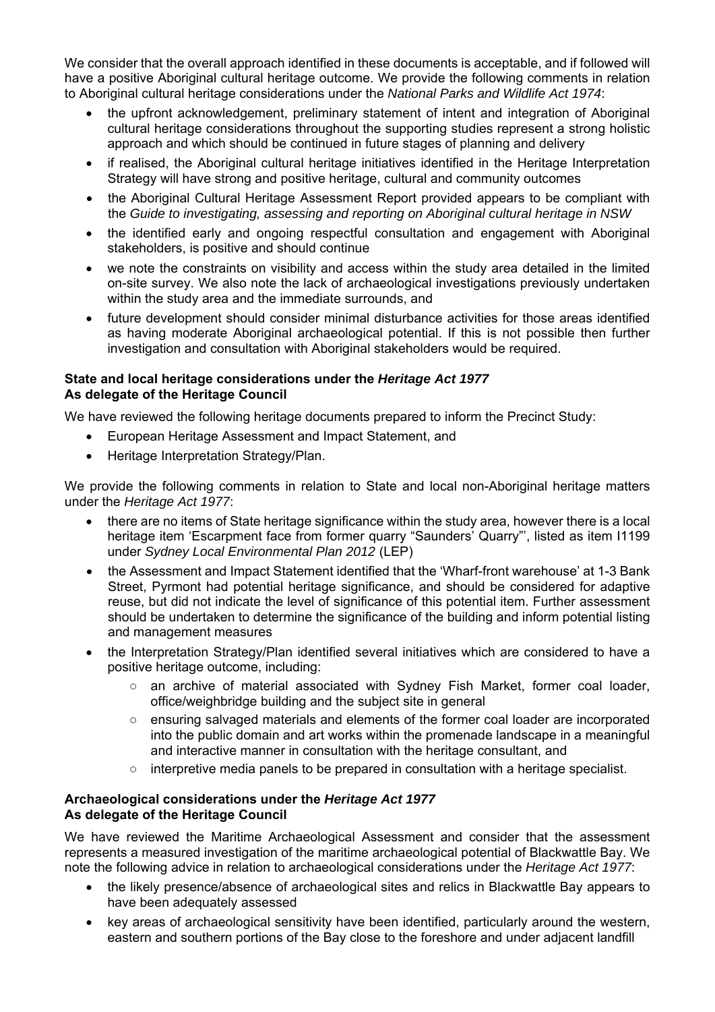We consider that the overall approach identified in these documents is acceptable, and if followed will have a positive Aboriginal cultural heritage outcome. We provide the following comments in relation to Aboriginal cultural heritage considerations under the *National Parks and Wildlife Act 1974*:

- the upfront acknowledgement, preliminary statement of intent and integration of Aboriginal cultural heritage considerations throughout the supporting studies represent a strong holistic approach and which should be continued in future stages of planning and delivery
- if realised, the Aboriginal cultural heritage initiatives identified in the Heritage Interpretation Strategy will have strong and positive heritage, cultural and community outcomes
- the Aboriginal Cultural Heritage Assessment Report provided appears to be compliant with the *Guide to investigating, assessing and reporting on Aboriginal cultural heritage in NSW*
- the identified early and ongoing respectful consultation and engagement with Aboriginal stakeholders, is positive and should continue
- we note the constraints on visibility and access within the study area detailed in the limited on-site survey. We also note the lack of archaeological investigations previously undertaken within the study area and the immediate surrounds, and
- future development should consider minimal disturbance activities for those areas identified as having moderate Aboriginal archaeological potential. If this is not possible then further investigation and consultation with Aboriginal stakeholders would be required.

## **State and local heritage considerations under the** *Heritage Act 1977*  **As delegate of the Heritage Council**

We have reviewed the following heritage documents prepared to inform the Precinct Study:

- European Heritage Assessment and Impact Statement, and
- Heritage Interpretation Strategy/Plan.

We provide the following comments in relation to State and local non-Aboriginal heritage matters under the *Heritage Act 1977*:

- there are no items of State heritage significance within the study area, however there is a local heritage item 'Escarpment face from former quarry "Saunders' Quarry"', listed as item I1199 under *Sydney Local Environmental Plan 2012* (LEP)
- the Assessment and Impact Statement identified that the 'Wharf-front warehouse' at 1-3 Bank Street, Pyrmont had potential heritage significance, and should be considered for adaptive reuse, but did not indicate the level of significance of this potential item. Further assessment should be undertaken to determine the significance of the building and inform potential listing and management measures
- the Interpretation Strategy/Plan identified several initiatives which are considered to have a positive heritage outcome, including:
	- an archive of material associated with Sydney Fish Market, former coal loader, office/weighbridge building and the subject site in general
	- ensuring salvaged materials and elements of the former coal loader are incorporated into the public domain and art works within the promenade landscape in a meaningful and interactive manner in consultation with the heritage consultant, and
	- interpretive media panels to be prepared in consultation with a heritage specialist.

## **Archaeological considerations under the** *Heritage Act 1977*  **As delegate of the Heritage Council**

We have reviewed the Maritime Archaeological Assessment and consider that the assessment represents a measured investigation of the maritime archaeological potential of Blackwattle Bay. We note the following advice in relation to archaeological considerations under the *Heritage Act 1977*:

- the likely presence/absence of archaeological sites and relics in Blackwattle Bay appears to have been adequately assessed
- key areas of archaeological sensitivity have been identified, particularly around the western, eastern and southern portions of the Bay close to the foreshore and under adjacent landfill